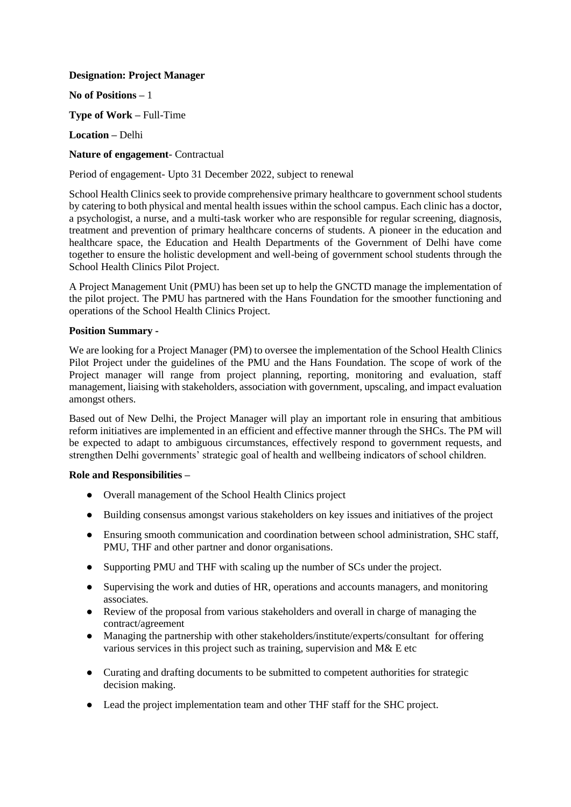### **Designation: Project Manager**

**No of Positions –** 1

**Type of Work –** Full-Time

**Location –** Delhi

**Nature of engagement**- Contractual

Period of engagement- Upto 31 December 2022, subject to renewal

School Health Clinics seek to provide comprehensive primary healthcare to government school students by catering to both physical and mental health issues within the school campus. Each clinic has a doctor, a psychologist, a nurse, and a multi-task worker who are responsible for regular screening, diagnosis, treatment and prevention of primary healthcare concerns of students. A pioneer in the education and healthcare space, the Education and Health Departments of the Government of Delhi have come together to ensure the holistic development and well-being of government school students through the School Health Clinics Pilot Project.

A Project Management Unit (PMU) has been set up to help the GNCTD manage the implementation of the pilot project. The PMU has partnered with the Hans Foundation for the smoother functioning and operations of the School Health Clinics Project.

### **Position Summary -**

We are looking for a Project Manager (PM) to oversee the implementation of the School Health Clinics Pilot Project under the guidelines of the PMU and the Hans Foundation. The scope of work of the Project manager will range from project planning, reporting, monitoring and evaluation, staff management, liaising with stakeholders, association with government, upscaling, and impact evaluation amongst others.

Based out of New Delhi, the Project Manager will play an important role in ensuring that ambitious reform initiatives are implemented in an efficient and effective manner through the SHCs. The PM will be expected to adapt to ambiguous circumstances, effectively respond to government requests, and strengthen Delhi governments' strategic goal of health and wellbeing indicators of school children.

### **Role and Responsibilities –**

- Overall management of the School Health Clinics project
- Building consensus amongst various stakeholders on key issues and initiatives of the project
- Ensuring smooth communication and coordination between school administration, SHC staff, PMU, THF and other partner and donor organisations.
- Supporting PMU and THF with scaling up the number of SCs under the project.
- Supervising the work and duties of HR, operations and accounts managers, and monitoring associates.
- Review of the proposal from various stakeholders and overall in charge of managing the contract/agreement
- Managing the partnership with other stakeholders/institute/experts/consultant for offering various services in this project such as training, supervision and M& E etc
- Curating and drafting documents to be submitted to competent authorities for strategic decision making.
- Lead the project implementation team and other THF staff for the SHC project.